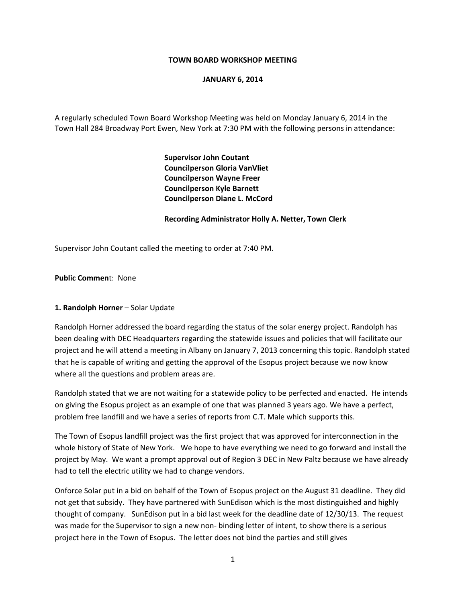#### **TOWN BOARD WORKSHOP MEETING**

#### **JANUARY 6, 2014**

A regularly scheduled Town Board Workshop Meeting was held on Monday January 6, 2014 in the Town Hall 284 Broadway Port Ewen, New York at 7:30 PM with the following persons in attendance:

> **Supervisor John Coutant Councilperson Gloria VanVliet Councilperson Wayne Freer Councilperson Kyle Barnett Councilperson Diane L. McCord**

#### **Recording Administrator Holly A. Netter, Town Clerk**

Supervisor John Coutant called the meeting to order at 7:40 PM.

**Public Commen**t: None

## **1. Randolph Horner** – Solar Update

Randolph Horner addressed the board regarding the status of the solar energy project. Randolph has been dealing with DEC Headquarters regarding the statewide issues and policies that will facilitate our project and he will attend a meeting in Albany on January 7, 2013 concerning this topic. Randolph stated that he is capable of writing and getting the approval of the Esopus project because we now know where all the questions and problem areas are.

Randolph stated that we are not waiting for a statewide policy to be perfected and enacted. He intends on giving the Esopus project as an example of one that was planned 3 years ago. We have a perfect, problem free landfill and we have a series of reports from C.T. Male which supports this.

The Town of Esopus landfill project was the first project that was approved for interconnection in the whole history of State of New York. We hope to have everything we need to go forward and install the project by May. We want a prompt approval out of Region 3 DEC in New Paltz because we have already had to tell the electric utility we had to change vendors.

Onforce Solar put in a bid on behalf of the Town of Esopus project on the August 31 deadline. They did not get that subsidy. They have partnered with SunEdison which is the most distinguished and highly thought of company. SunEdison put in a bid last week for the deadline date of 12/30/13. The request was made for the Supervisor to sign a new non- binding letter of intent, to show there is a serious project here in the Town of Esopus. The letter does not bind the parties and still gives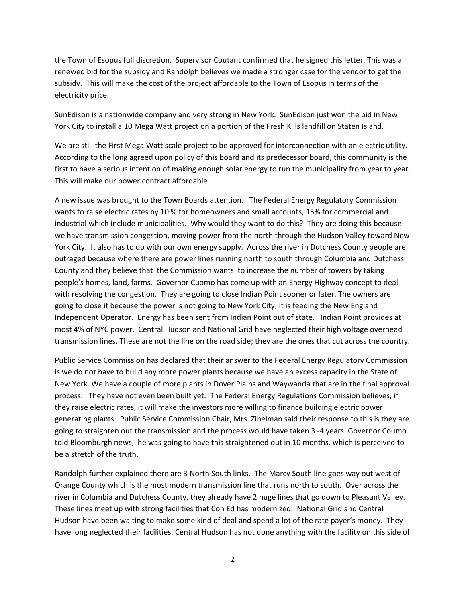the Town of Esopus full discretion. Supervisor Coutant confirmed that he signed this letter. This was a renewed bid for the subsidy and Randolph believes we made a stronger case for the vendor to get the subsidy. This will make the cost of the project affordable to the Town of Esopus in terms of the electricity price.

SunEdison is a nationwide company and very strong in New York. SunEdison just won the bid in New York City to install a 10 Mega Watt project on a portion of the Fresh Kills landfill on Staten Island.

We are still the First Mega Watt scale project to be approved for interconnection with an electric utility. According to the long agreed upon policy of this board and its predecessor board, this community is the first to have a serious intention of making enough solar energy to run the municipality from year to year. This will make our power contract affordable

A new issue was brought to the Town Boards attention. The Federal Energy Regulatory Commission wants to raise electric rates by 10 % for homeowners and small accounts, 15% for commercial and industrial which include municipalities. Why would they want to do this? They are doing this because we have transmission congestion, moving power from the north through the Hudson Valley toward New York City. It also has to do with our own energy supply. Across the river in Dutchess County people are outraged because where there are power lines running north to south through Columbia and Dutchess County and they believe that the Commission wants to increase the number of towers by taking people's homes, land, farms. Governor Cuomo has come up with an Energy Highway concept to deal with resolving the congestion. They are going to close Indian Point sooner or later. The owners are going to close it because the power is not going to New York City; it is feeding the New England Independent Operator. Energy has been sent from Indian Point out of state. Indian Point provides at most 4% of NYC power. Central Hudson and National Grid have neglected their high voltage overhead transmission lines. These are not the line on the road side; they are the ones that cut across the country.

Public Service Commission has declared that their answer to the Federal Energy Regulatory Commission is we do not have to build any more power plants because we have an excess capacity in the State of New York. We have a couple of more plants in Dover Plains and Waywanda that are in the final approval process. They have not even been built yet. The Federal Energy Regulations Commission believes, if they raise electric rates, it will make the investors more willing to finance building electric power generating plants. Public Service Commission Chair, Mrs. Zibelman said their response to this is they are going to straighten out the transmission and the process would have taken 3 ‐4 years. Governor Coumo told Bloomburgh news, he was going to have this straightened out in 10 months, which is perceived to be a stretch of the truth.

Randolph further explained there are 3 North South links. The Marcy South line goes way out west of Orange County which is the most modern transmission line that runs north to south. Over across the river in Columbia and Dutchess County, they already have 2 huge lines that go down to Pleasant Valley. These lines meet up with strong facilities that Con Ed has modernized. National Grid and Central Hudson have been waiting to make some kind of deal and spend a lot of the rate payer's money. They have long neglected their facilities. Central Hudson has not done anything with the facility on this side of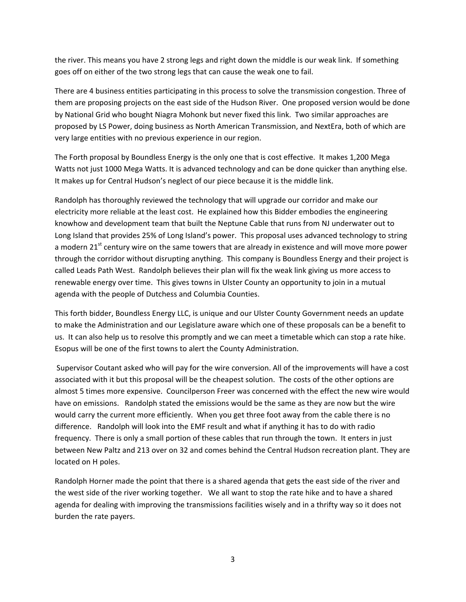the river. This means you have 2 strong legs and right down the middle is our weak link. If something goes off on either of the two strong legs that can cause the weak one to fail.

There are 4 business entities participating in this process to solve the transmission congestion. Three of them are proposing projects on the east side of the Hudson River. One proposed version would be done by National Grid who bought Niagra Mohonk but never fixed this link. Two similar approaches are proposed by LS Power, doing business as North American Transmission, and NextEra, both of which are very large entities with no previous experience in our region.

The Forth proposal by Boundless Energy is the only one that is cost effective. It makes 1,200 Mega Watts not just 1000 Mega Watts. It is advanced technology and can be done quicker than anything else. It makes up for Central Hudson's neglect of our piece because it is the middle link.

Randolph has thoroughly reviewed the technology that will upgrade our corridor and make our electricity more reliable at the least cost. He explained how this Bidder embodies the engineering knowhow and development team that built the Neptune Cable that runs from NJ underwater out to Long Island that provides 25% of Long Island's power. This proposal uses advanced technology to string a modern 21<sup>st</sup> century wire on the same towers that are already in existence and will move more power through the corridor without disrupting anything. This company is Boundless Energy and their project is called Leads Path West. Randolph believes their plan will fix the weak link giving us more access to renewable energy over time. This gives towns in Ulster County an opportunity to join in a mutual agenda with the people of Dutchess and Columbia Counties.

This forth bidder, Boundless Energy LLC, is unique and our Ulster County Government needs an update to make the Administration and our Legislature aware which one of these proposals can be a benefit to us. It can also help us to resolve this promptly and we can meet a timetable which can stop a rate hike. Esopus will be one of the first towns to alert the County Administration.

Supervisor Coutant asked who will pay for the wire conversion. All of the improvements will have a cost associated with it but this proposal will be the cheapest solution. The costs of the other options are almost 5 times more expensive. Councilperson Freer was concerned with the effect the new wire would have on emissions. Randolph stated the emissions would be the same as they are now but the wire would carry the current more efficiently. When you get three foot away from the cable there is no difference. Randolph will look into the EMF result and what if anything it has to do with radio frequency. There is only a small portion of these cables that run through the town. It enters in just between New Paltz and 213 over on 32 and comes behind the Central Hudson recreation plant. They are located on H poles.

Randolph Horner made the point that there is a shared agenda that gets the east side of the river and the west side of the river working together. We all want to stop the rate hike and to have a shared agenda for dealing with improving the transmissions facilities wisely and in a thrifty way so it does not burden the rate payers.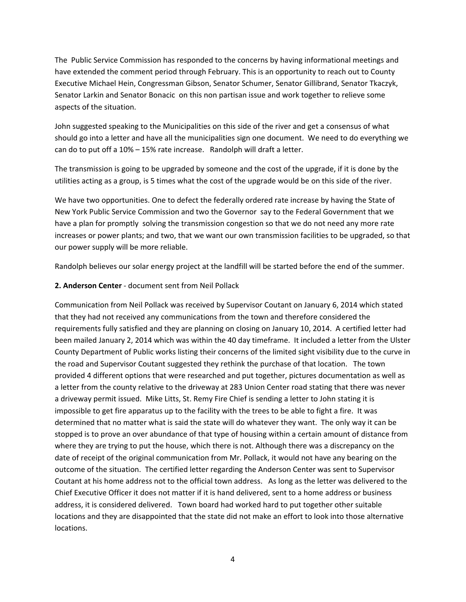The Public Service Commission has responded to the concerns by having informational meetings and have extended the comment period through February. This is an opportunity to reach out to County Executive Michael Hein, Congressman Gibson, Senator Schumer, Senator Gillibrand, Senator Tkaczyk, Senator Larkin and Senator Bonacic on this non partisan issue and work together to relieve some aspects of the situation.

John suggested speaking to the Municipalities on this side of the river and get a consensus of what should go into a letter and have all the municipalities sign one document. We need to do everything we can do to put off a 10% – 15% rate increase. Randolph will draft a letter.

The transmission is going to be upgraded by someone and the cost of the upgrade, if it is done by the utilities acting as a group, is 5 times what the cost of the upgrade would be on this side of the river.

We have two opportunities. One to defect the federally ordered rate increase by having the State of New York Public Service Commission and two the Governor say to the Federal Government that we have a plan for promptly solving the transmission congestion so that we do not need any more rate increases or power plants; and two, that we want our own transmission facilities to be upgraded, so that our power supply will be more reliable.

Randolph believes our solar energy project at the landfill will be started before the end of the summer.

## **2. Anderson Center** ‐ document sent from Neil Pollack

Communication from Neil Pollack was received by Supervisor Coutant on January 6, 2014 which stated that they had not received any communications from the town and therefore considered the requirements fully satisfied and they are planning on closing on January 10, 2014. A certified letter had been mailed January 2, 2014 which was within the 40 day timeframe. It included a letter from the Ulster County Department of Public works listing their concerns of the limited sight visibility due to the curve in the road and Supervisor Coutant suggested they rethink the purchase of that location. The town provided 4 different options that were researched and put together, pictures documentation as well as a letter from the county relative to the driveway at 283 Union Center road stating that there was never a driveway permit issued. Mike Litts, St. Remy Fire Chief is sending a letter to John stating it is impossible to get fire apparatus up to the facility with the trees to be able to fight a fire. It was determined that no matter what is said the state will do whatever they want. The only way it can be stopped is to prove an over abundance of that type of housing within a certain amount of distance from where they are trying to put the house, which there is not. Although there was a discrepancy on the date of receipt of the original communication from Mr. Pollack, it would not have any bearing on the outcome of the situation. The certified letter regarding the Anderson Center was sent to Supervisor Coutant at his home address not to the official town address. As long as the letter was delivered to the Chief Executive Officer it does not matter if it is hand delivered, sent to a home address or business address, it is considered delivered. Town board had worked hard to put together other suitable locations and they are disappointed that the state did not make an effort to look into those alternative locations.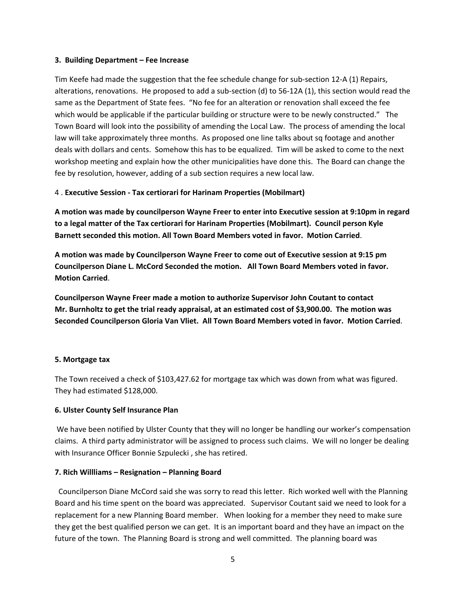#### **3. Building Department – Fee Increase**

Tim Keefe had made the suggestion that the fee schedule change for sub-section 12-A (1) Repairs, alterations, renovations. He proposed to add a sub-section (d) to 56-12A (1), this section would read the same as the Department of State fees. "No fee for an alteration or renovation shall exceed the fee which would be applicable if the particular building or structure were to be newly constructed." The Town Board will look into the possibility of amending the Local Law. The process of amending the local law will take approximately three months. As proposed one line talks about sq footage and another deals with dollars and cents. Somehow this has to be equalized. Tim will be asked to come to the next workshop meeting and explain how the other municipalities have done this. The Board can change the fee by resolution, however, adding of a sub section requires a new local law.

## 4 . **Executive Session ‐ Tax certiorari for Harinam Properties (Mobilmart)**

**A motion was made by councilperson Wayne Freer to enter into Executive session at 9:10pm in regard to a legal matter of the Tax certiorari for Harinam Properties (Mobilmart). Council person Kyle Barnett seconded this motion. All Town Board Members voted in favor. Motion Carried**.

**A motion was made by Councilperson Wayne Freer to come out of Executive session at 9:15 pm Councilperson Diane L. McCord Seconded the motion. All Town Board Members voted in favor. Motion Carried**.

**Councilperson Wayne Freer made a motion to authorize Supervisor John Coutant to contact Mr. Burnholtz to get the trial ready appraisal, at an estimated cost of \$3,900.00. The motion was Seconded Councilperson Gloria Van Vliet. All Town Board Members voted in favor. Motion Carried**.

## **5. Mortgage tax**

The Town received a check of \$103,427.62 for mortgage tax which was down from what was figured. They had estimated \$128,000.

## **6. Ulster County Self Insurance Plan**

We have been notified by Ulster County that they will no longer be handling our worker's compensation claims. A third party administrator will be assigned to process such claims. We will no longer be dealing with Insurance Officer Bonnie Szpulecki , she has retired.

## **7. Rich Willliams – Resignation – Planning Board**

 Councilperson Diane McCord said she was sorry to read this letter. Rich worked well with the Planning Board and his time spent on the board was appreciated. Supervisor Coutant said we need to look for a replacement for a new Planning Board member. When looking for a member they need to make sure they get the best qualified person we can get. It is an important board and they have an impact on the future of the town. The Planning Board is strong and well committed. The planning board was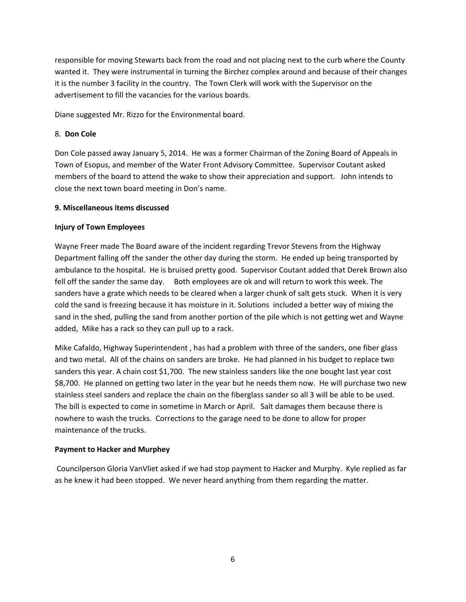responsible for moving Stewarts back from the road and not placing next to the curb where the County wanted it. They were instrumental in turning the Birchez complex around and because of their changes it is the number 3 facility in the country. The Town Clerk will work with the Supervisor on the advertisement to fill the vacancies for the various boards.

Diane suggested Mr. Rizzo for the Environmental board.

## 8. **Don Cole**

Don Cole passed away January 5, 2014. He was a former Chairman of the Zoning Board of Appeals in Town of Esopus, and member of the Water Front Advisory Committee. Supervisor Coutant asked members of the board to attend the wake to show their appreciation and support. John intends to close the next town board meeting in Don's name.

# **9. Miscellaneous items discussed**

# **Injury of Town Employees**

Wayne Freer made The Board aware of the incident regarding Trevor Stevens from the Highway Department falling off the sander the other day during the storm. He ended up being transported by ambulance to the hospital. He is bruised pretty good. Supervisor Coutant added that Derek Brown also fell off the sander the same day. Both employees are ok and will return to work this week. The sanders have a grate which needs to be cleared when a larger chunk of salt gets stuck. When it is very cold the sand is freezing because it has moisture in it. Solutions included a better way of mixing the sand in the shed, pulling the sand from another portion of the pile which is not getting wet and Wayne added, Mike has a rack so they can pull up to a rack.

Mike Cafaldo, Highway Superintendent , has had a problem with three of the sanders, one fiber glass and two metal. All of the chains on sanders are broke. He had planned in his budget to replace two sanders this year. A chain cost \$1,700. The new stainless sanders like the one bought last year cost \$8,700. He planned on getting two later in the year but he needs them now. He will purchase two new stainless steel sanders and replace the chain on the fiberglass sander so all 3 will be able to be used. The bill is expected to come in sometime in March or April. Salt damages them because there is nowhere to wash the trucks. Corrections to the garage need to be done to allow for proper maintenance of the trucks.

# **Payment to Hacker and Murphey**

Councilperson Gloria VanVliet asked if we had stop payment to Hacker and Murphy. Kyle replied as far as he knew it had been stopped. We never heard anything from them regarding the matter.